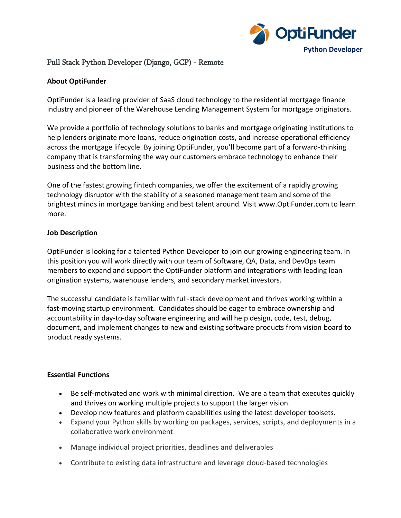

# Full Stack Python Developer (Django, GCP) - Remote

### **About OptiFunder**

OptiFunder is a leading provider of SaaS cloud technology to the residential mortgage finance industry and pioneer of the Warehouse Lending Management System for mortgage originators.

We provide a portfolio of technology solutions to banks and mortgage originating institutions to help lenders originate more loans, reduce origination costs, and increase operational efficiency across the mortgage lifecycle. By joining OptiFunder, you'll become part of a forward-thinking company that is transforming the way our customers embrace technology to enhance their business and the bottom line.

One of the fastest growing fintech companies, we offer the excitement of a rapidly growing technology disruptor with the stability of a seasoned management team and some of the brightest minds in mortgage banking and best talent around. Visit www.OptiFunder.com to learn more.

## **Job Description**

OptiFunder is looking for a talented Python Developer to join our growing engineering team. In this position you will work directly with our team of Software, QA, Data, and DevOps team members to expand and support the OptiFunder platform and integrations with leading loan origination systems, warehouse lenders, and secondary market investors.

The successful candidate is familiar with full-stack development and thrives working within a fast-moving startup environment. Candidates should be eager to embrace ownership and accountability in day-to-day software engineering and will help design, code, test, debug, document, and implement changes to new and existing software products from vision board to product ready systems.

#### **Essential Functions**

- Be self-motivated and work with minimal direction. We are a team that executes quickly and thrives on working multiple projects to support the larger vision.
- Develop new features and platform capabilities using the latest developer toolsets.
- Expand your Python skills by working on packages, services, scripts, and deployments in a collaborative work environment
- Manage individual project priorities, deadlines and deliverables
- Contribute to existing data infrastructure and leverage cloud-based technologies